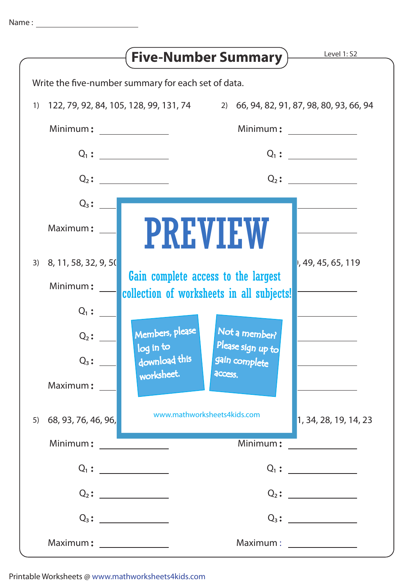|                           | Level 1: S2<br><b>Five-Number Summary</b> )                                      |
|---------------------------|----------------------------------------------------------------------------------|
|                           | Write the five-number summary for each set of data.                              |
| 1)                        | 122, 79, 92, 84, 105, 128, 99, 131, 74 2) 66, 94, 82, 91, 87, 98, 80, 93, 66, 94 |
| Minimum:                  |                                                                                  |
|                           | $Q_1:$                                                                           |
|                           | $Q_2$ :                                                                          |
| $Q_3$ :                   |                                                                                  |
| Maximum:                  | <b>PREVIEW</b>                                                                   |
| 3) $8, 11, 58, 32, 9, 50$ | 1, 49, 45, 65, 119                                                               |
| Minimum:                  | Gain complete access to the largest<br>collection of worksheets in all subjects! |
| $Q_1$ :                   |                                                                                  |
| $Q_2$ :                   | Members, please<br>Not a member?<br>Please sign up to                            |
| $Q_3$ :                   | log in to<br>download this<br>gain complete                                      |
| Maximum:                  | worksheet.<br>access.                                                            |
| 68, 93, 76, 46, 96,<br>5) | www.mathworksheets4kids.com<br>1, 34, 28, 19, 14, 23                             |
| Minimum:                  | Minimum:                                                                         |
|                           |                                                                                  |
|                           | $Q_2$ :                                                                          |
|                           |                                                                                  |
| Maximum: ________________ |                                                                                  |